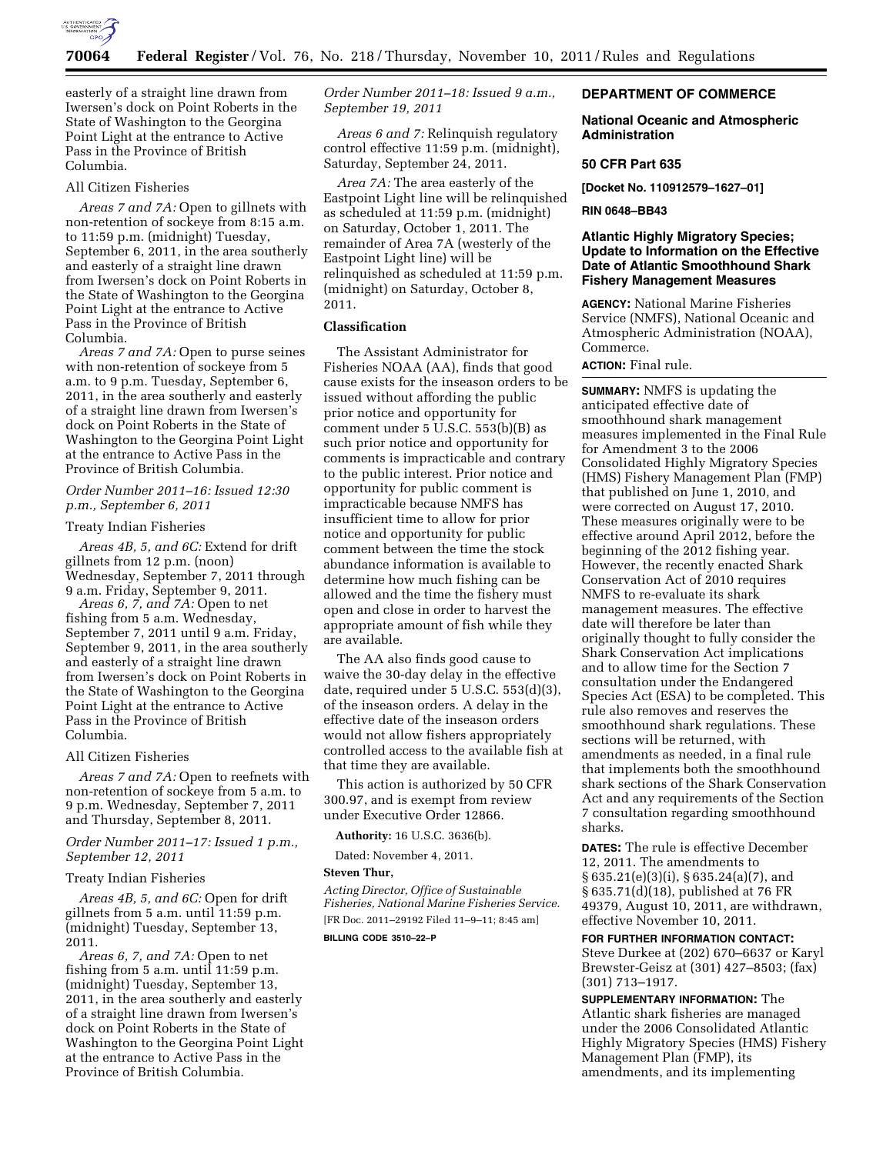

easterly of a straight line drawn from Iwersen's dock on Point Roberts in the State of Washington to the Georgina Point Light at the entrance to Active Pass in the Province of British Columbia.

#### All Citizen Fisheries

*Areas 7 and 7A:* Open to gillnets with non-retention of sockeye from 8:15 a.m. to 11:59 p.m. (midnight) Tuesday, September 6, 2011, in the area southerly and easterly of a straight line drawn from Iwersen's dock on Point Roberts in the State of Washington to the Georgina Point Light at the entrance to Active Pass in the Province of British Columbia.

*Areas 7 and 7A:* Open to purse seines with non-retention of sockeye from 5 a.m. to 9 p.m. Tuesday, September 6, 2011, in the area southerly and easterly of a straight line drawn from Iwersen's dock on Point Roberts in the State of Washington to the Georgina Point Light at the entrance to Active Pass in the Province of British Columbia.

## *Order Number 2011–16: Issued 12:30 p.m., September 6, 2011*

### Treaty Indian Fisheries

*Areas 4B, 5, and 6C:* Extend for drift gillnets from 12 p.m. (noon) Wednesday, September 7, 2011 through 9 a.m. Friday, September 9, 2011.

*Areas 6, 7, and 7A:* Open to net fishing from 5 a.m. Wednesday, September 7, 2011 until 9 a.m. Friday, September 9, 2011, in the area southerly and easterly of a straight line drawn from Iwersen's dock on Point Roberts in the State of Washington to the Georgina Point Light at the entrance to Active Pass in the Province of British Columbia.

#### All Citizen Fisheries

*Areas 7 and 7A:* Open to reefnets with non-retention of sockeye from 5 a.m. to 9 p.m. Wednesday, September 7, 2011 and Thursday, September 8, 2011.

## *Order Number 2011–17: Issued 1 p.m., September 12, 2011*

#### Treaty Indian Fisheries

*Areas 4B, 5, and 6C:* Open for drift gillnets from 5 a.m. until 11:59 p.m. (midnight) Tuesday, September 13, 2011.

*Areas 6, 7, and 7A:* Open to net fishing from 5 a.m. until 11:59 p.m. (midnight) Tuesday, September 13, 2011, in the area southerly and easterly of a straight line drawn from Iwersen's dock on Point Roberts in the State of Washington to the Georgina Point Light at the entrance to Active Pass in the Province of British Columbia.

*Order Number 2011–18: Issued 9 a.m., September 19, 2011* 

*Areas 6 and 7:* Relinquish regulatory control effective 11:59 p.m. (midnight), Saturday, September 24, 2011.

*Area 7A:* The area easterly of the Eastpoint Light line will be relinquished as scheduled at 11:59 p.m. (midnight) on Saturday, October 1, 2011. The remainder of Area 7A (westerly of the Eastpoint Light line) will be relinquished as scheduled at 11:59 p.m. (midnight) on Saturday, October 8, 2011.

## **Classification**

The Assistant Administrator for Fisheries NOAA (AA), finds that good cause exists for the inseason orders to be issued without affording the public prior notice and opportunity for comment under 5 U.S.C. 553(b)(B) as such prior notice and opportunity for comments is impracticable and contrary to the public interest. Prior notice and opportunity for public comment is impracticable because NMFS has insufficient time to allow for prior notice and opportunity for public comment between the time the stock abundance information is available to determine how much fishing can be allowed and the time the fishery must open and close in order to harvest the appropriate amount of fish while they are available.

The AA also finds good cause to waive the 30-day delay in the effective date, required under 5 U.S.C. 553(d)(3), of the inseason orders. A delay in the effective date of the inseason orders would not allow fishers appropriately controlled access to the available fish at that time they are available.

This action is authorized by 50 CFR 300.97, and is exempt from review under Executive Order 12866.

**Authority:** 16 U.S.C. 3636(b).

Dated: November 4, 2011.

#### **Steven Thur,**

*Acting Director, Office of Sustainable Fisheries, National Marine Fisheries Service.*  [FR Doc. 2011–29192 Filed 11–9–11; 8:45 am]

**BILLING CODE 3510–22–P** 

### **DEPARTMENT OF COMMERCE**

#### **National Oceanic and Atmospheric Administration**

#### **50 CFR Part 635**

**[Docket No. 110912579–1627–01]** 

#### **RIN 0648–BB43**

## **Atlantic Highly Migratory Species; Update to Information on the Effective Date of Atlantic Smoothhound Shark Fishery Management Measures**

**AGENCY:** National Marine Fisheries Service (NMFS), National Oceanic and Atmospheric Administration (NOAA), Commerce.

# **ACTION:** Final rule.

**SUMMARY:** NMFS is updating the anticipated effective date of smoothhound shark management measures implemented in the Final Rule for Amendment 3 to the 2006 Consolidated Highly Migratory Species (HMS) Fishery Management Plan (FMP) that published on June 1, 2010, and were corrected on August 17, 2010. These measures originally were to be effective around April 2012, before the beginning of the 2012 fishing year. However, the recently enacted Shark Conservation Act of 2010 requires NMFS to re-evaluate its shark management measures. The effective date will therefore be later than originally thought to fully consider the Shark Conservation Act implications and to allow time for the Section 7 consultation under the Endangered Species Act (ESA) to be completed. This rule also removes and reserves the smoothhound shark regulations. These sections will be returned, with amendments as needed, in a final rule that implements both the smoothhound shark sections of the Shark Conservation Act and any requirements of the Section 7 consultation regarding smoothhound sharks.

**DATES:** The rule is effective December 12, 2011. The amendments to § 635.21(e)(3)(i), § 635.24(a)(7), and § 635.71(d)(18), published at 76 FR 49379, August 10, 2011, are withdrawn, effective November 10, 2011.

**FOR FURTHER INFORMATION CONTACT:**  Steve Durkee at (202) 670–6637 or Karyl Brewster-Geisz at (301) 427–8503; (fax) (301) 713–1917.

**SUPPLEMENTARY INFORMATION:** The Atlantic shark fisheries are managed under the 2006 Consolidated Atlantic Highly Migratory Species (HMS) Fishery Management Plan (FMP), its amendments, and its implementing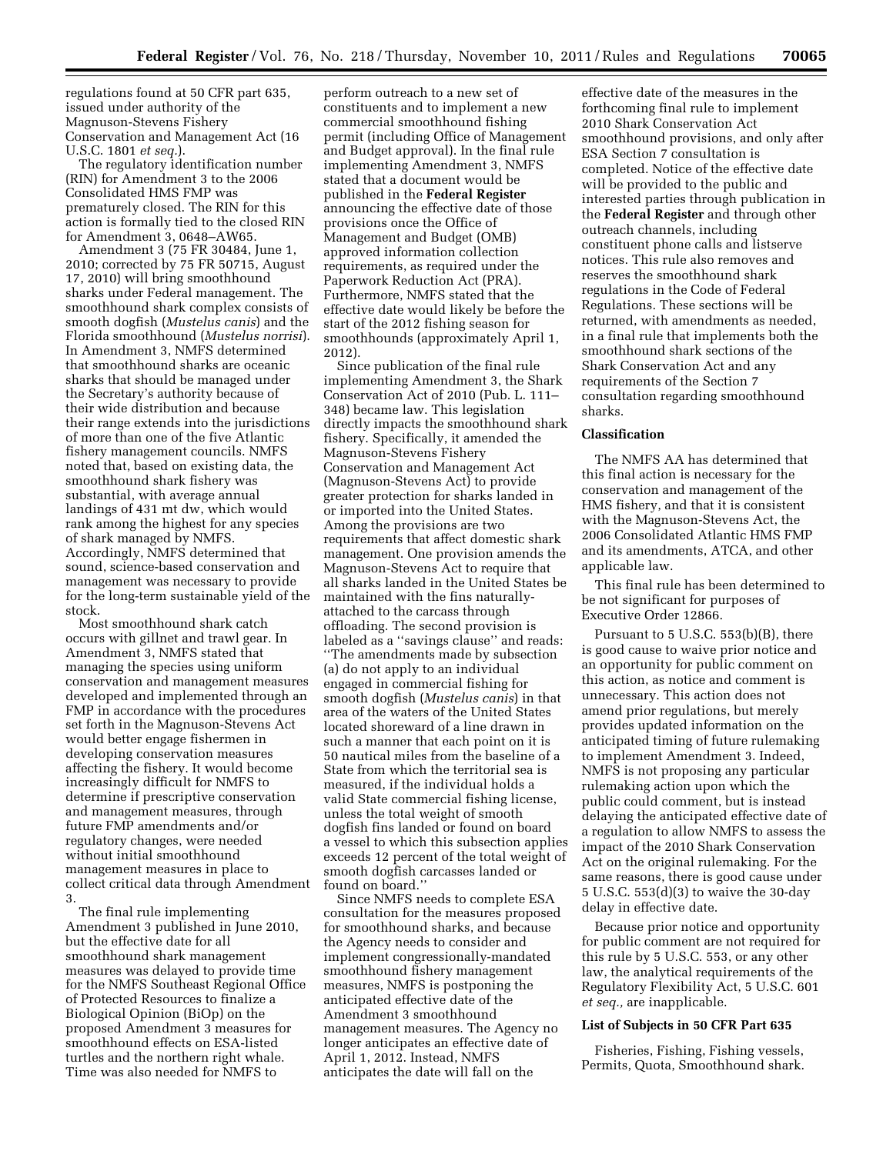regulations found at 50 CFR part 635, issued under authority of the Magnuson-Stevens Fishery Conservation and Management Act (16 U.S.C. 1801 *et seq.*).

The regulatory identification number (RIN) for Amendment 3 to the 2006 Consolidated HMS FMP was prematurely closed. The RIN for this action is formally tied to the closed RIN for Amendment 3, 0648–AW65.

Amendment 3 (75 FR 30484, June 1, 2010; corrected by 75 FR 50715, August 17, 2010) will bring smoothhound sharks under Federal management. The smoothhound shark complex consists of smooth dogfish (*Mustelus canis*) and the Florida smoothhound (*Mustelus norrisi*). In Amendment 3, NMFS determined that smoothhound sharks are oceanic sharks that should be managed under the Secretary's authority because of their wide distribution and because their range extends into the jurisdictions of more than one of the five Atlantic fishery management councils. NMFS noted that, based on existing data, the smoothhound shark fishery was substantial, with average annual landings of 431 mt dw, which would rank among the highest for any species of shark managed by NMFS. Accordingly, NMFS determined that sound, science-based conservation and management was necessary to provide for the long-term sustainable yield of the stock.

Most smoothhound shark catch occurs with gillnet and trawl gear. In Amendment 3, NMFS stated that managing the species using uniform conservation and management measures developed and implemented through an FMP in accordance with the procedures set forth in the Magnuson-Stevens Act would better engage fishermen in developing conservation measures affecting the fishery. It would become increasingly difficult for NMFS to determine if prescriptive conservation and management measures, through future FMP amendments and/or regulatory changes, were needed without initial smoothhound management measures in place to collect critical data through Amendment 3.

The final rule implementing Amendment 3 published in June 2010, but the effective date for all smoothhound shark management measures was delayed to provide time for the NMFS Southeast Regional Office of Protected Resources to finalize a Biological Opinion (BiOp) on the proposed Amendment 3 measures for smoothhound effects on ESA-listed turtles and the northern right whale. Time was also needed for NMFS to

perform outreach to a new set of constituents and to implement a new commercial smoothhound fishing permit (including Office of Management and Budget approval). In the final rule implementing Amendment 3, NMFS stated that a document would be published in the **Federal Register**  announcing the effective date of those provisions once the Office of Management and Budget (OMB) approved information collection requirements, as required under the Paperwork Reduction Act (PRA). Furthermore, NMFS stated that the effective date would likely be before the start of the 2012 fishing season for smoothhounds (approximately April 1, 2012).

Since publication of the final rule implementing Amendment 3, the Shark Conservation Act of 2010 (Pub. L. 111– 348) became law. This legislation directly impacts the smoothhound shark fishery. Specifically, it amended the Magnuson-Stevens Fishery Conservation and Management Act (Magnuson-Stevens Act) to provide greater protection for sharks landed in or imported into the United States. Among the provisions are two requirements that affect domestic shark management. One provision amends the Magnuson-Stevens Act to require that all sharks landed in the United States be maintained with the fins naturallyattached to the carcass through offloading. The second provision is labeled as a ''savings clause'' and reads: ''The amendments made by subsection (a) do not apply to an individual engaged in commercial fishing for smooth dogfish (*Mustelus canis*) in that area of the waters of the United States located shoreward of a line drawn in such a manner that each point on it is 50 nautical miles from the baseline of a State from which the territorial sea is measured, if the individual holds a valid State commercial fishing license, unless the total weight of smooth dogfish fins landed or found on board a vessel to which this subsection applies exceeds 12 percent of the total weight of smooth dogfish carcasses landed or found on board.''

Since NMFS needs to complete ESA consultation for the measures proposed for smoothhound sharks, and because the Agency needs to consider and implement congressionally-mandated smoothhound fishery management measures, NMFS is postponing the anticipated effective date of the Amendment 3 smoothhound management measures. The Agency no longer anticipates an effective date of April 1, 2012. Instead, NMFS anticipates the date will fall on the

effective date of the measures in the forthcoming final rule to implement 2010 Shark Conservation Act smoothhound provisions, and only after ESA Section 7 consultation is completed. Notice of the effective date will be provided to the public and interested parties through publication in the **Federal Register** and through other outreach channels, including constituent phone calls and listserve notices. This rule also removes and reserves the smoothhound shark regulations in the Code of Federal Regulations. These sections will be returned, with amendments as needed, in a final rule that implements both the smoothhound shark sections of the Shark Conservation Act and any requirements of the Section 7 consultation regarding smoothhound sharks.

## **Classification**

The NMFS AA has determined that this final action is necessary for the conservation and management of the HMS fishery, and that it is consistent with the Magnuson-Stevens Act, the 2006 Consolidated Atlantic HMS FMP and its amendments, ATCA, and other applicable law.

This final rule has been determined to be not significant for purposes of Executive Order 12866.

Pursuant to 5 U.S.C. 553(b)(B), there is good cause to waive prior notice and an opportunity for public comment on this action, as notice and comment is unnecessary. This action does not amend prior regulations, but merely provides updated information on the anticipated timing of future rulemaking to implement Amendment 3. Indeed, NMFS is not proposing any particular rulemaking action upon which the public could comment, but is instead delaying the anticipated effective date of a regulation to allow NMFS to assess the impact of the 2010 Shark Conservation Act on the original rulemaking. For the same reasons, there is good cause under 5 U.S.C. 553(d)(3) to waive the 30-day delay in effective date.

Because prior notice and opportunity for public comment are not required for this rule by 5 U.S.C. 553, or any other law, the analytical requirements of the Regulatory Flexibility Act, 5 U.S.C. 601 *et seq.,* are inapplicable.

### **List of Subjects in 50 CFR Part 635**

Fisheries, Fishing, Fishing vessels, Permits, Quota, Smoothhound shark.